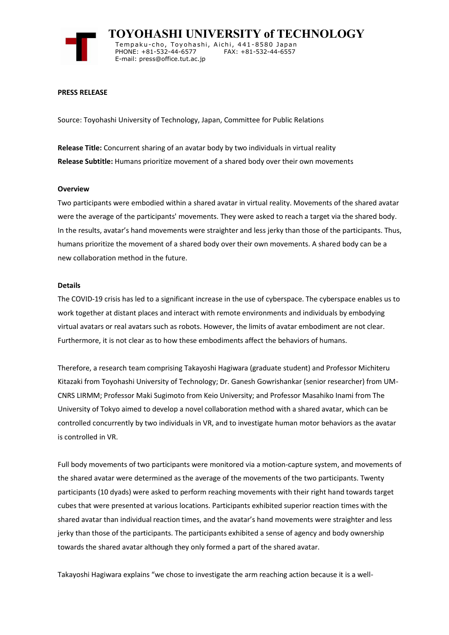

 **TOYOHASHI UNIVERSITY of TECHNOLOGY** Tempaku-cho, Toyohashi, Aichi, 441-8580 Japan<br>PHONE: +81-532-44-6577 FAX: +81-532-44-6557 PHONE: +81-532-44-6577 E-mail: press@office.tut.ac.jp

### **PRESS RELEASE**

Source: Toyohashi University of Technology, Japan, Committee for Public Relations

**Release Title:** Concurrent sharing of an avatar body by two individuals in virtual reality **Release Subtitle:** Humans prioritize movement of a shared body over their own movements

### **Overview**

Two participants were embodied within a shared avatar in virtual reality. Movements of the shared avatar were the average of the participants' movements. They were asked to reach a target via the shared body. In the results, avatar's hand movements were straighter and less jerky than those of the participants. Thus, humans prioritize the movement of a shared body over their own movements. A shared body can be a new collaboration method in the future.

### **Details**

The COVID-19 crisis has led to a significant increase in the use of cyberspace. The cyberspace enables us to work together at distant places and interact with remote environments and individuals by embodying virtual avatars or real avatars such as robots. However, the limits of avatar embodiment are not clear. Furthermore, it is not clear as to how these embodiments affect the behaviors of humans.

Therefore, a research team comprising Takayoshi Hagiwara (graduate student) and Professor Michiteru Kitazaki from Toyohashi University of Technology; Dr. Ganesh Gowrishankar (senior researcher) from UM-CNRS LIRMM; Professor Maki Sugimoto from Keio University; and Professor Masahiko Inami from The University of Tokyo aimed to develop a novel collaboration method with a shared avatar, which can be controlled concurrently by two individuals in VR, and to investigate human motor behaviors as the avatar is controlled in VR.

Full body movements of two participants were monitored via a motion-capture system, and movements of the shared avatar were determined as the average of the movements of the two participants. Twenty participants (10 dyads) were asked to perform reaching movements with their right hand towards target cubes that were presented at various locations. Participants exhibited superior reaction times with the shared avatar than individual reaction times, and the avatar's hand movements were straighter and less jerky than those of the participants. The participants exhibited a sense of agency and body ownership towards the shared avatar although they only formed a part of the shared avatar.

Takayoshi Hagiwara explains "we chose to investigate the arm reaching action because it is a well-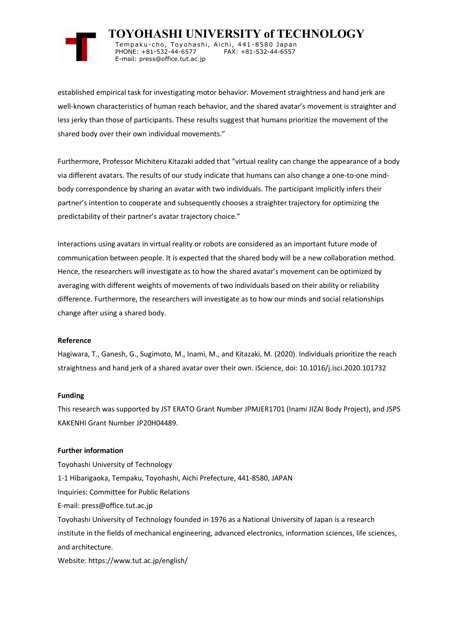

 **TOYOHASHI UNIVERSITY of TECHNOLOGY** Tempaku-cho, Toyohashi, Aichi, 441-8580 Japan<br>PHONE: +81-532-44-6577 FAX: +81-532-44-6557 PHONE: +81-532-44-6577 E-mail: press@office.tut.ac.jp

established empirical task for investigating motor behavior. Movement straightness and hand jerk are well-known characteristics of human reach behavior, and the shared avatar's movement is straighter and less jerky than those of participants. These results suggest that humans prioritize the movement of the shared body over their own individual movements."

Furthermore, Professor Michiteru Kitazaki added that "virtual reality can change the appearance of a body via different avatars. The results of our study indicate that humans can also change a one-to-one mindbody correspondence by sharing an avatar with two individuals. The participant implicitly infers their partner's intention to cooperate and subsequently chooses a straighter trajectory for optimizing the predictability of their partner's avatar trajectory choice."

Interactions using avatars in virtual reality or robots are considered as an important future mode of communication between people. It is expected that the shared body will be a new collaboration method. Hence, the researchers will investigate as to how the shared avatar's movement can be optimized by averaging with different weights of movements of two individuals based on their ability or reliability difference. Furthermore, the researchers will investigate as to how our minds and social relationships change after using a shared body.

# **Reference**

Hagiwara, T., Ganesh, G., Sugimoto, M., Inami, M., and Kitazaki, M. (2020). Individuals prioritize the reach straightness and hand jerk of a shared avatar over their own. iScience, doi: 10.1016/j.isci.2020.101732

# **Funding**

This research was supported by JST ERATO Grant Number JPMJER1701 (Inami JIZAI Body Project), and JSPS KAKENHI Grant Number JP20H04489.

# **Further information**

Toyohashi University of Technology 1-1 Hibarigaoka, Tempaku, Toyohashi, Aichi Prefecture, 441-8580, JAPAN Inquiries: Committee for Public Relations E-mail: press@office.tut.ac.jp Toyohashi University of Technology founded in 1976 as a National University of Japan is a research institute in the fields of mechanical engineering, advanced electronics, information sciences, life sciences, and architecture. Website: https://www.tut.ac.jp/english/